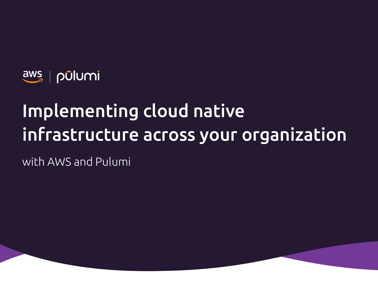

# Implementing cloud native infrastructure across your organization

with AWS and Pulumi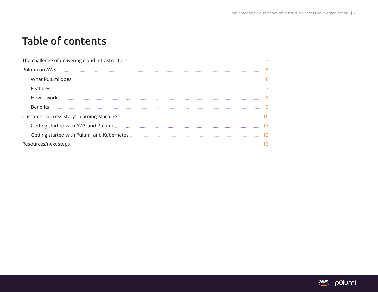## Table of contents

| The challenge of delivering cloud infrastructure <b>Manual Communities</b> 3 |  |
|------------------------------------------------------------------------------|--|
|                                                                              |  |
|                                                                              |  |
|                                                                              |  |
|                                                                              |  |
|                                                                              |  |
|                                                                              |  |
|                                                                              |  |
|                                                                              |  |
|                                                                              |  |
|                                                                              |  |

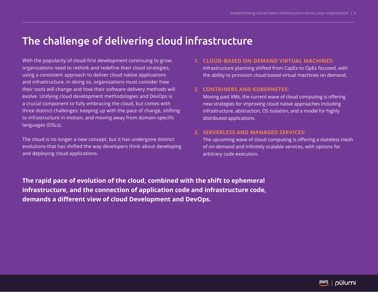### The challenge of delivering cloud infrastructure

With the popularity of cloud-first development continuing to grow, organizations need to rethink and redefine their cloud strategies, using a consistent approach to deliver cloud native applications and infrastructure. In doing so, organizations must consider how their tools will change and how their software delivery methods will evolve. Unifying cloud development methodologies and DevOps is a crucial component to fully embracing the cloud, but comes with three distinct challenges: keeping up with the pace of change, shifting to infrastructure in motion, and moving away from domain-specific languages (DSLs).

The cloud is no longer a new concept, but it has undergone distinct evolutions that has shifted the way developers think about developing and deploying cloud applications.

### **1. CLOUD-BASED ON-DEMAND VIRTUAL MACHINES:**

Infrastructure planning shifted from CapEx to OpEx focused, with the ability to provision cloud-based virtual machines on demand.

### **2. CONTAINERS AND KUBERNETES:**

Moving past VMs, the current wave of cloud computing is offering new strategies for improving cloud native approaches including infrastructure, abstraction, OS isolation, and a model for highly distributed applications.

### **3. SERVERLESS AND MANAGED SERVICES:**

The upcoming wave of cloud computing is offering a stateless mesh of on-demand and infinitely scalable services, with options for arbitrary code execution.

**The rapid pace of evolution of the cloud, combined with the shift to ephemeral infrastructure, and the connection of application code and infrastructure code, demands a different view of cloud Development and DevOps.**

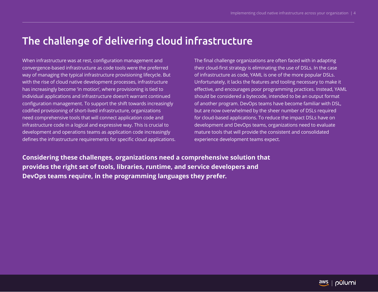### The challenge of delivering cloud infrastructure

When infrastructure was at rest, configuration management and convergence-based infrastructure as code tools were the preferred way of managing the typical infrastructure provisioning lifecycle. But with the rise of cloud native development processes, infrastructure has increasingly become 'in motion', where provisioning is tied to individual applications and infrastructure doesn't warrant continued configuration management. To support the shift towards increasingly codified provisioning of short-lived infrastructure, organizations need comprehensive tools that will connect application code and infrastructure code in a logical and expressive way. This is crucial to development and operations teams as application code increasingly defines the infrastructure requirements for specific cloud applications. The final challenge organizations are often faced with in adapting their cloud-first strategy is eliminating the use of DSLs. In the case of infrastructure as code, YAML is one of the more popular DSLs. Unfortunately, it lacks the features and tooling necessary to make it effective, and encourages poor programming practices. Instead, YAML should be considered a bytecode, intended to be an output format of another program. DevOps teams have become familiar with DSL, but are now overwhelmed by the sheer number of DSLs required for cloud-based applications. To reduce the impact DSLs have on development and DevOps teams, organizations need to evaluate mature tools that will provide the consistent and consolidated experience development teams expect.

**Considering these challenges, organizations need a comprehensive solution that provides the right set of tools, libraries, runtime, and service developers and DevOps teams require, in the programming languages they prefer.** 

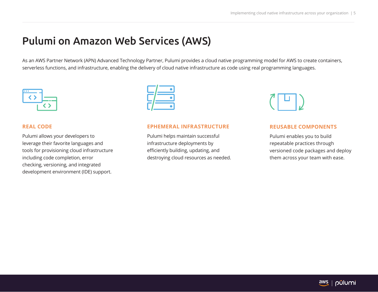### Pulumi on Amazon Web Services (AWS)

As an AWS Partner Network (APN) Advanced Technology Partner, Pulumi provides a cloud native programming model for AWS to create containers, serverless functions, and infrastructure, enabling the delivery of cloud native infrastructure as code using real programming languages.



#### **REAL CODE**

Pulumi allows your developers to leverage their favorite languages and tools for provisioning cloud infrastructure including code completion, error checking, versioning, and integrated development environment (IDE) support.

#### **EPHEMERAL INFRASTRUCTURE**

Pulumi helps maintain successful infrastructure deployments by efficiently building, updating, and destroying cloud resources as needed.



#### **REUSABLE COMPONENTS**

Pulumi enables you to build repeatable practices through versioned code packages and deploy them across your team with ease.

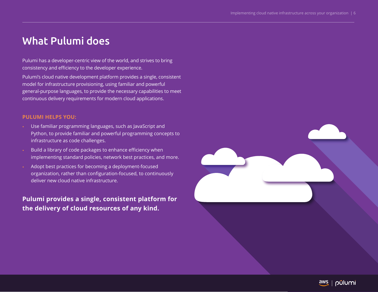### What Pulumi does

Pulumi has a developer-centric view of the world, and strives to bring consistency and efficiency to the developer experience.

Pulumi's cloud native development platform provides a single, consistent model for infrastructure provisioning, using familiar and powerful general-purpose languages, to provide the necessary capabilities to meet continuous delivery requirements for modern cloud applications.

### **PULUMI HELPS YOU:**

- Use familiar programming languages, such as JavaScript and Python, to provide familiar and powerful programming concepts to infrastructure as code challenges.
- Build a library of code packages to enhance efficiency when implementing standard policies, network best practices, and more.
- Adopt best practices for becoming a deployment-focused organization, rather than configuration-focused, to continuously deliver new cloud native infrastructure.

**Pulumi provides a single, consistent platform for the delivery of cloud resources of any kind.**



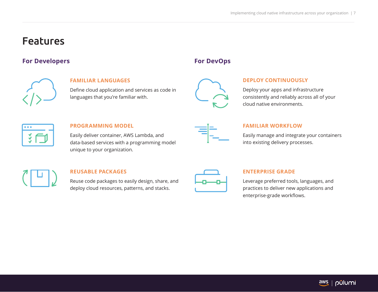### Features

### **For Developers For DevOps**



### **FAMILIAR LANGUAGES**

Define cloud application and services as code in languages that you're familiar with.

|         | V |
|---------|---|
| í<br>K. |   |

### **DEPLOY CONTINUOUSLY**

Deploy your apps and infrastructure consistently and reliably across all of your cloud native environments.

| ٠ |  |
|---|--|
|   |  |

### **PROGRAMMING MODEL**

Easily deliver container, AWS Lambda, and data-based services with a programming model unique to your organization.



### **FAMILIAR WORKFLOW**

Easily manage and integrate your containers into existing delivery processes.



### **REUSABLE PACKAGES**

Reuse code packages to easily design, share, and deploy cloud resources, patterns, and stacks.

### **ENTERPRISE GRADE**

Leverage preferred tools, languages, and practices to deliver new applications and enterprise-grade workflows.

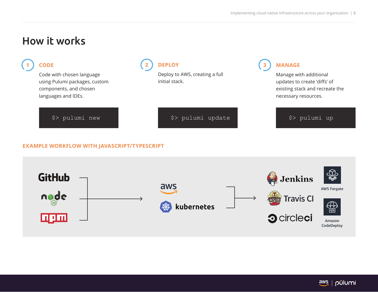### How it works



### **EXAMPLE WORKFLOW WITH JAVASCRIPT/TYPESCRIPT**



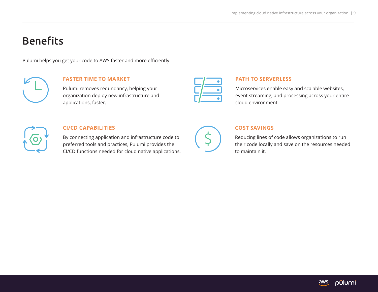### **Benefits**

Pulumi helps you get your code to AWS faster and more efficiently.



### **FASTER TIME TO MARKET**

Pulumi removes redundancy, helping your organization deploy new infrastructure and applications, faster.

### **PATH TO SERVERLESS**

Microservices enable easy and scalable websites, event streaming, and processing across your entire cloud environment.



### **CI/CD CAPABILITIES**

By connecting application and infrastructure code to preferred tools and practices, Pulumi provides the CI/CD functions needed for cloud native applications.

### **COST SAVINGS**

Reducing lines of code allows organizations to run their code locally and save on the resources needed to maintain it.

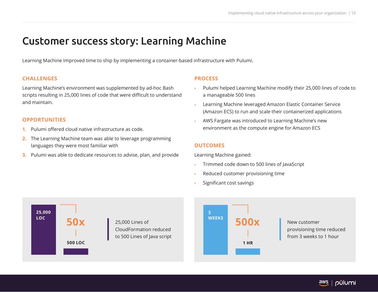### Customer success story: Learning Machine

Learning Machine Improved time to ship by implementing a container-based infrastructure with Pulumi.

### **CHALLENGES**

Learning Machine's environment was supplemented by ad-hoc Bash scripts resulting in 25,000 lines of code that were difficult to understand and maintain.

### **OPPORTUNITIES**

- **1.** Pulumi offered cloud native infrastructure as code.
- **2.** The Learning Machine team was able to leverage programming languages they were most familiar with
- **3.** Pulumi was able to dedicate resources to advise, plan, and provide

### **PROCESS**

- Pulumi helped Learning Machine modify their 25,000 lines of code to a manageable 500 lines
- Learning Machine leveraged Amazon Elastic Container Service (Amazon ECS) to run and scale their containerized applications
- AWS Fargate was introduced to Learning Machine's new environment as the compute engine for Amazon ECS

### **OUTCOMES**

**3 WEEKS**

Learning Machine gained:

- Trimmed code down to 500 lines of JavaScript
- Reduced customer provisioning time
- Significant cost savings





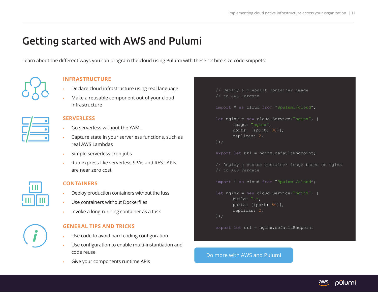## Getting started with AWS and Pulumi

Learn about the different ways you can program the cloud using Pulumi with these 12 bite-size code snippets:



### **INFRASTRUCTURE**

- Declare cloud infrastructure using real language
- Make a reusable component out of your cloud infrastructure

#### **SERVERLESS**

- Go serverless without the YAML
- Capture state in your serverless functions, such as real AWS Lambdas
- Simple serverless cron jobs
- Run express-like serverless SPAs and REST APIs are near zero cost



### **CONTAINERS**

- Deploy production containers without the fuss
- Use containers without Dockerfiles
- Invoke a long-running container as a task

### **GENERAL TIPS AND TRICKS**

- Use code to avoid hard-coding configuration
- Use configuration to enable multi-instantiation and code reuse
- Give your components runtime APIs

```
// Deploy a prebuilt container image
// to AWS Fargate
import * as cloud from "@pulumi/cloud";
let nginx = new cloud. Service ("nginx", {
      image: "nginx",
      ports: [{port: 80}],
      replicas: 2,
});
export let url = nginx.defaultEndpoint;// Deploy a custom container image based on nginx
// to AWS Fargate
import * as cloud from "@pulumi/cloud";
let nginx = new cloud. Service ("nginx", {
      build: ".",
      ports: [{port: 80}],
      replicas: 2,
});
export let url = nginx.defaultEndpoint
```
### [Do more with AWS and Pulumi](https://blog.pulumi.com/program-the-cloud-with-12-pulumi-pearls)

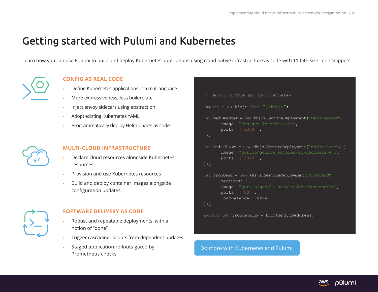## Getting started with Pulumi and Kubernetes

Learn how you can use Pulumi to build and deploy Kubernetes applications using cloud native infrastructure as code with 11 bite-size code snippets:



### **CONFIG AS REAL CODE**

- Define Kubernetes applications in a real language
- More expressiveness, less boilerplate
- Inject envoy sidecars using abstraction
- Adopt existing Kubernetes YAML
- Programmatically deploy Helm Charts as code



### **MULTI-CLOUD INFRASTRUCTURE**

- Declare cloud resources alongside Kubernetes resources
- Provision and use Kubernetes resources
- Build and deploy container images alongside configuration updates



### **SOFTWARE DELIVERY AS CODE**

- Robust and repeatable deployments, with a notion of "done"
- Trigger cascading rollouts from dependent updates
- Staged application rollouts gated by Prometheus checks

```
// Deploy simple app to Kubernetes
import * as k8sjs from "./k8sjs";
let redisMaster = new k8sjs.ServiceDeployment("redis-master", {
       image: "k8s.gcr.io/redis:e2e",
       ports: [ 6379 ],
});
let redisSlave = new k8sjs.ServiceDeployment("redis-slave", {
       image: "gcr.io/google_samples/gb-redisslave:v1",
       ports: [ 6379 ],
});
let frontend = new k8sjs.ServiceDeployment("frontend", {
       replicas: 3
       image: "gcr.io/google_samples/gb-frontend:v4",
       ports: [ 80 ],
       loadBalancer: true,
});
```
export let frontendIp = frontend.ipAddress;

[Do more with Kubernetes and Pulumi](https://blog.pulumi.com/program-kubernetes-with-11-cloud-native-pulumi-pearls)